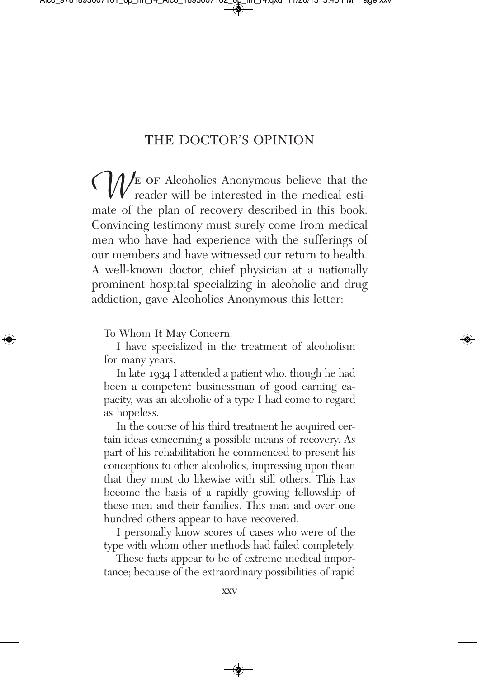## THE DOCTOR'S OPINION

We of Alcoholics Anonymous believe that the reader will be interested in the medical estimate of the plan of recovery described in this book. reader will be interested in the medical estimate of the plan of recovery described in this book. Convincing testimony must surely come from medical men who have had experience with the sufferings of our members and have witnessed our return to health. A well-known doctor, chief physician at a nationally prominent hospital specializing in alcoholic and drug addiction, gave Alcoholics Anonymous this letter:

To Whom It May Concern:

I have specialized in the treatment of alcoholism for many years.

In late 1934 I attended a patient who, though he had been a competent businessman of good earning capacity, was an alcoholic of a type I had come to regard as hopeless.

In the course of his third treatment he acquired certain ideas concerning a possible means of recovery. As part of his rehabilitation he commenced to present his conceptions to other alcoholics, impressing upon them that they must do likewise with still others. This has become the basis of a rapidly growing fellowship of these men and their families. This man and over one hundred others appear to have recovered.

I personally know scores of cases who were of the type with whom other methods had failed completely.

These facts appear to be of extreme medical importance; because of the extraordinary possibilities of rapid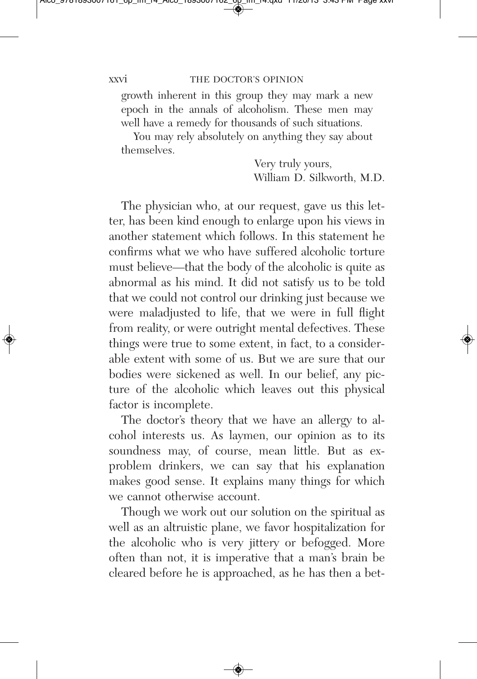growth inherent in this group they may mark a new epoch in the annals of alcoholism. These men may well have a remedy for thousands of such situations.

You may rely absolutely on anything they say about themselves.

> Very truly yours, William D. Silkworth, M.D.

The physician who, at our request, gave us this letter, has been kind enough to enlarge upon his views in another statement which follows. In this statement he confirms what we who have suffered alcoholic torture must believe—that the body of the alcoholic is quite as abnormal as his mind. It did not satisfy us to be told that we could not control our drinking just because we were maladjusted to life, that we were in full flight from reality, or were outright mental defectives. These things were true to some extent, in fact, to a considerable extent with some of us. But we are sure that our bodies were sickened as well. In our belief, any picture of the alcoholic which leaves out this physical factor is incomplete.

The doctor's theory that we have an allergy to alcohol interests us. As laymen, our opinion as to its soundness may, of course, mean little. But as exproblem drinkers, we can say that his explanation makes good sense. It explains many things for which we cannot otherwise account.

Though we work out our solution on the spiritual as well as an altruistic plane, we favor hospitalization for the alcoholic who is very jittery or befogged. More often than not, it is imperative that a man's brain be cleared before he is approached, as he has then a bet-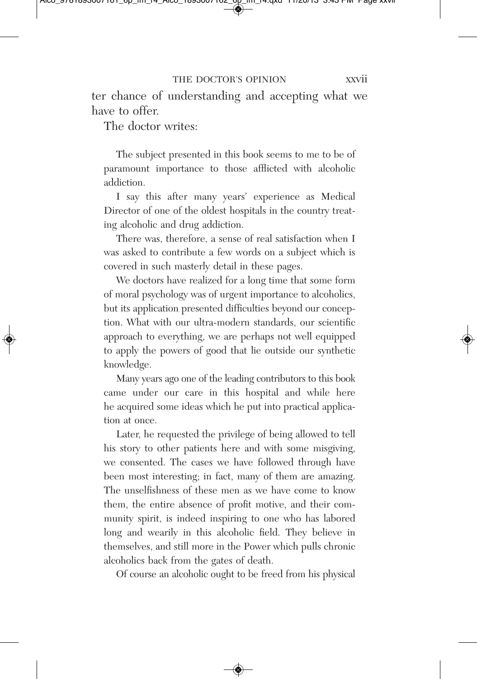ter chance of understanding and accepting what we have to offer.

The doctor writes:

The subject presented in this book seems to me to be of paramount importance to those afflicted with alcoholic addiction.

I say this after many years' experience as Medical Director of one of the oldest hospitals in the country treating alcoholic and drug addiction.

There was, therefore, a sense of real satisfaction when I was asked to contribute a few words on a subject which is covered in such masterly detail in these pages.

We doctors have realized for a long time that some form of moral psychology was of urgent importance to alcoholics, but its application presented difficulties beyond our conception. What with our ultra-modern standards, our scientific approach to everything, we are perhaps not well equipped to apply the powers of good that lie outside our synthetic knowledge.

Many years ago one of the leading contributors to this book came under our care in this hospital and while here he acquired some ideas which he put into practical application at once.

Later, he requested the privilege of being allowed to tell his story to other patients here and with some misgiving, we consented. The cases we have followed through have been most interesting; in fact, many of them are amazing. The unselfishness of these men as we have come to know them, the entire absence of profit motive, and their community spirit, is indeed inspiring to one who has labored long and wearily in this alcoholic field. They believe in themselves, and still more in the Power which pulls chronic alcoholics back from the gates of death.

Of course an alcoholic ought to be freed from his physical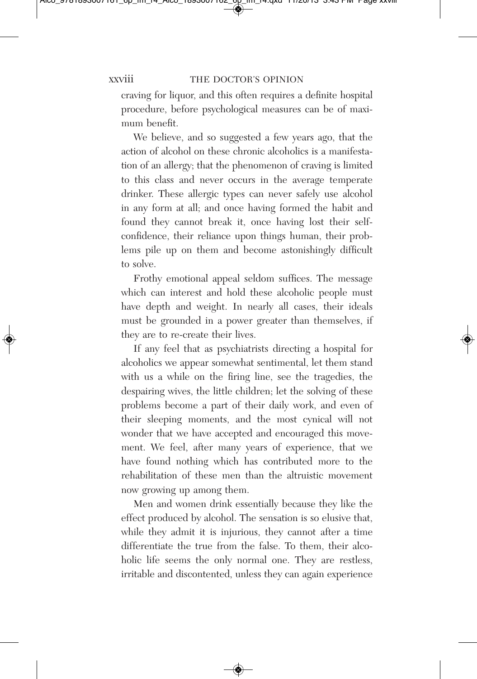## xxviii THE DOCTOR'S OPINION

craving for liquor, and this often requires a definite hospital procedure, before psychological measures can be of maximum benefit.

We believe, and so suggested a few years ago, that the action of alcohol on these chronic alcoholics is a manifestation of an allergy; that the phenomenon of craving is limited to this class and never occurs in the average temperate drinker. These allergic types can never safely use alcohol in any form at all; and once having formed the habit and found they cannot break it, once having lost their selfconfidence, their reliance upon things human, their problems pile up on them and become astonishingly difficult to solve.

Frothy emotional appeal seldom suffices. The message which can interest and hold these alcoholic people must have depth and weight. In nearly all cases, their ideals must be grounded in a power greater than themselves, if they are to re-create their lives.

If any feel that as psychiatrists directing a hospital for alcoholics we appear somewhat sentimental, let them stand with us a while on the firing line, see the tragedies, the despairing wives, the little children; let the solving of these problems become a part of their daily work, and even of their sleeping moments, and the most cynical will not wonder that we have accepted and encouraged this movement. We feel, after many years of experience, that we have found nothing which has contributed more to the rehabilitation of these men than the altruistic movement now growing up among them.

Men and women drink essentially because they like the effect produced by alcohol. The sensation is so elusive that, while they admit it is injurious, they cannot after a time differentiate the true from the false. To them, their alcoholic life seems the only normal one. They are restless, irritable and discontented, unless they can again experience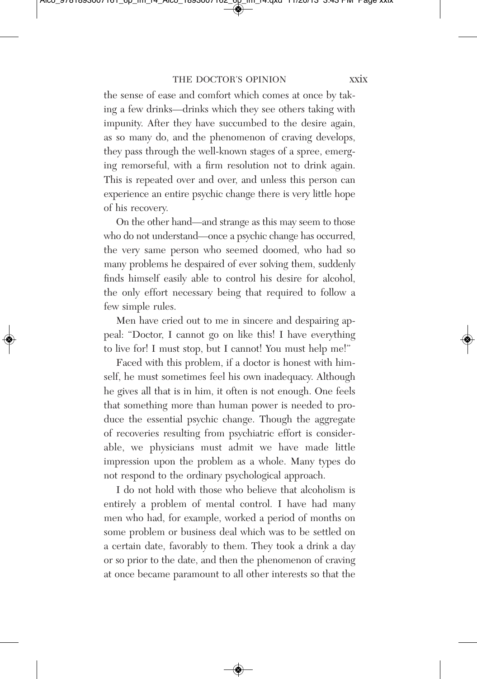the sense of ease and comfort which comes at once by taking a few drinks—drinks which they see others taking with impunity. After they have succumbed to the desire again, as so many do, and the phenomenon of craving develops, they pass through the well-known stages of a spree, emerging remorseful, with a firm resolution not to drink again. This is repeated over and over, and unless this person can experience an entire psychic change there is very little hope of his recovery.

On the other hand—and strange as this may seem to those who do not understand—once a psychic change has occurred, the very same person who seemed doomed, who had so many problems he despaired of ever solving them, suddenly finds himself easily able to control his desire for alcohol, the only effort necessary being that required to follow a few simple rules.

Men have cried out to me in sincere and despairing appeal: "Doctor, I cannot go on like this! I have everything to live for! I must stop, but I cannot! You must help me!''

Faced with this problem, if a doctor is honest with himself, he must sometimes feel his own inadequacy. Although he gives all that is in him, it often is not enough. One feels that something more than human power is needed to produce the essential psychic change. Though the aggregate of recoveries resulting from psychiatric effort is considerable, we physicians must admit we have made little impression upon the problem as a whole. Many types do not respond to the ordinary psychological approach.

I do not hold with those who believe that alcoholism is entirely a problem of mental control. I have had many men who had, for example, worked a period of months on some problem or business deal which was to be settled on a certain date, favorably to them. They took a drink a day or so prior to the date, and then the phenomenon of craving at once became paramount to all other interests so that the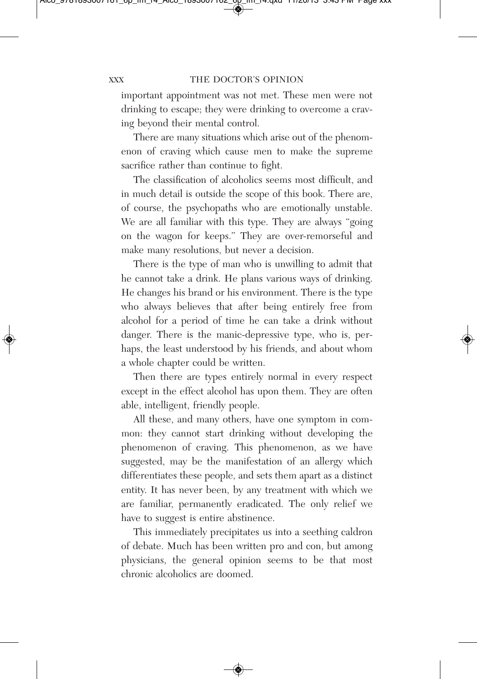## xxx THE DOCTOR'S OPINION

important appointment was not met. These men were not drinking to escape; they were drinking to overcome a craving beyond their mental control.

There are many situations which arise out of the phenomenon of craving which cause men to make the supreme sacrifice rather than continue to fight.

The classification of alcoholics seems most difficult, and in much detail is outside the scope of this book. There are, of course, the psychopaths who are emotionally unstable. We are all familiar with this type. They are always "going on the wagon for keeps.'' They are over-remorseful and make many resolutions, but never a decision.

There is the type of man who is unwilling to admit that he cannot take a drink. He plans various ways of drinking. He changes his brand or his environment. There is the type who always believes that after being entirely free from alcohol for a period of time he can take a drink without danger. There is the manic-depressive type, who is, perhaps, the least understood by his friends, and about whom a whole chapter could be written.

Then there are types entirely normal in every respect except in the effect alcohol has upon them. They are often able, intelligent, friendly people.

All these, and many others, have one symptom in common: they cannot start drinking without developing the phenomenon of craving. This phenomenon, as we have suggested, may be the manifestation of an allergy which differentiates these people, and sets them apart as a distinct entity. It has never been, by any treatment with which we are familiar, permanently eradicated. The only relief we have to suggest is entire abstinence.

This immediately precipitates us into a seething caldron of debate. Much has been written pro and con, but among physicians, the general opinion seems to be that most chronic alcoholics are doomed.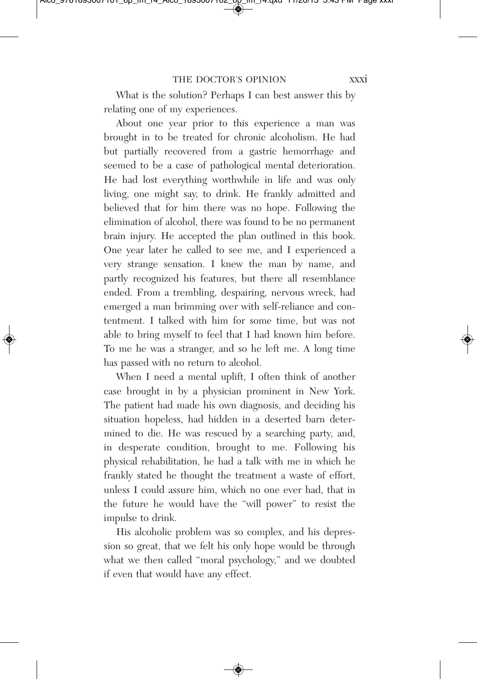What is the solution? Perhaps I can best answer this by relating one of my experiences.

About one year prior to this experience a man was brought in to be treated for chronic alcoholism. He had but partially recovered from a gastric hemorrhage and seemed to be a case of pathological mental deterioration. He had lost everything worthwhile in life and was only living, one might say, to drink. He frankly admitted and believed that for him there was no hope. Following the elimination of alcohol, there was found to be no permanent brain injury. He accepted the plan outlined in this book. One year later he called to see me, and I experienced a very strange sensation. I knew the man by name, and partly recognized his features, but there all resemblance ended. From a trembling, despairing, nervous wreck, had emerged a man brimming over with self-reliance and contentment. I talked with him for some time, but was not able to bring myself to feel that I had known him before. To me he was a stranger, and so he left me. A long time has passed with no return to alcohol.

When I need a mental uplift, I often think of another case brought in by a physician prominent in New York. The patient had made his own diagnosis, and deciding his situation hopeless, had hidden in a deserted barn determined to die. He was rescued by a searching party, and, in desperate condition, brought to me. Following his physical rehabilitation, he had a talk with me in which he frankly stated he thought the treatment a waste of effort, unless I could assure him, which no one ever had, that in the future he would have the "will power'' to resist the impulse to drink.

His alcoholic problem was so complex, and his depression so great, that we felt his only hope would be through what we then called "moral psychology," and we doubted if even that would have any effect.